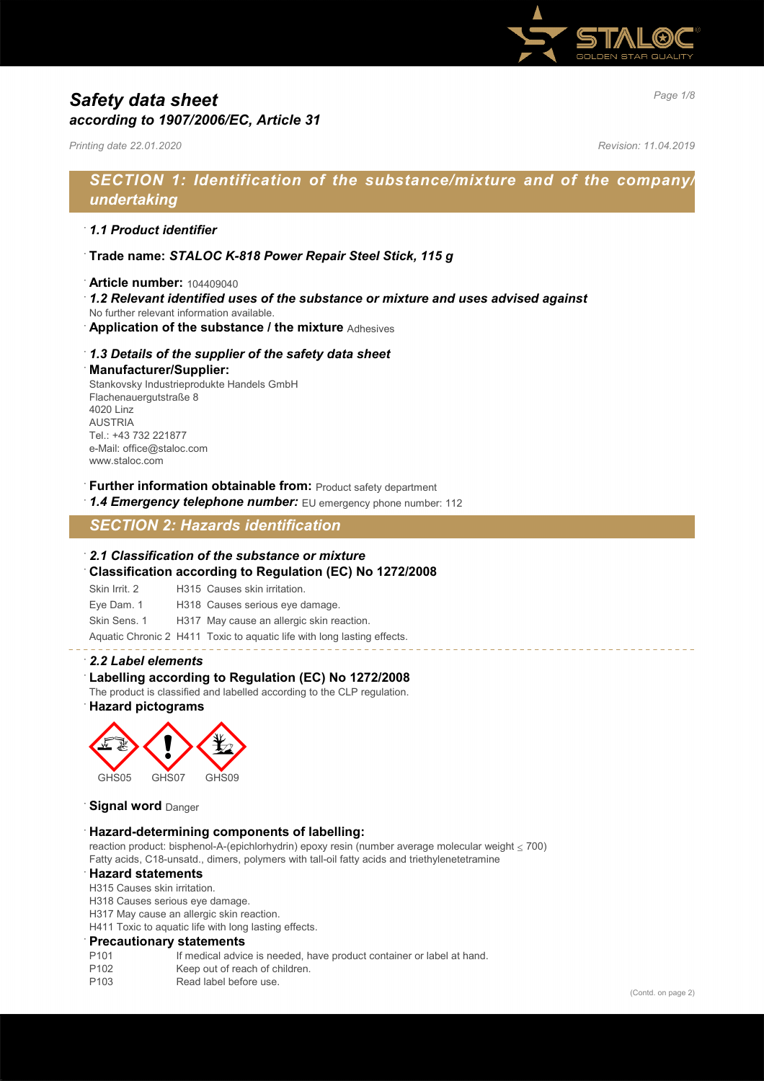

# *Page 1/8 Safety data sheet according to 1907/2006/EC, Article 31*

*Printing date 22.01.2020 Revision: 11.04.2019*

# *SECTION 1: Identification of the substance/mixture and of the company/ undertaking*

#### · *1.1 Product identifier*

- · **Trade name:** *STALOC K-818 Power Repair Steel Stick, 115 g*
- · **Article number:** 104409040
- · *1.2 Relevant identified uses of the substance or mixture and uses advised against*
- No further relevant information available.
- · **Application of the substance / the mixture** Adhesives

#### · *1.3 Details of the supplier of the safety data sheet*

#### · **Manufacturer/Supplier:**

Stankovsky Industrieprodukte Handels GmbH Flachenauergutstraße 8 4020 Linz AUSTRIA Tel.: +43 732 221877 e-Mail: office@staloc.com www.staloc.com

- **Further information obtainable from:** Product safety department
- 1.4 **Emergency telephone number:** EU emergency phone number: 112

# *SECTION 2: Hazards identification*

#### · *2.1 Classification of the substance or mixture*

- · **Classification according to Regulation (EC) No 1272/2008**
- Skin Irrit. 2 H315 Causes skin irritation.
- Eye Dam. 1 H318 Causes serious eye damage.
- Skin Sens. 1 H317 May cause an allergic skin reaction.

Aquatic Chronic 2 H411 Toxic to aquatic life with long lasting effects.

#### · *2.2 Label elements*

#### Labelling according to Regulation (EC) No 1272/2008

The product is classified and labelled according to the CLP regulation.

· **Hazard pictograms**



#### **Signal word** Danger

#### · **Hazard-determining components of labelling:**

reaction product: bisphenol-A-(epichlorhydrin) epoxy resin (number average molecular weight ≤ 700) Fatty acids, C18-unsatd., dimers, polymers with tall-oil fatty acids and triethylenetetramine

#### · **Hazard statements**

- H315 Causes skin irritation.
- H318 Causes serious eye damage.
- H317 May cause an allergic skin reaction.

H411 Toxic to aquatic life with long lasting effects.

#### · **Precautionary statements**

- P101 If medical advice is needed, have product container or label at hand.
- P102 Keep out of reach of children.
- P103 Read label before use.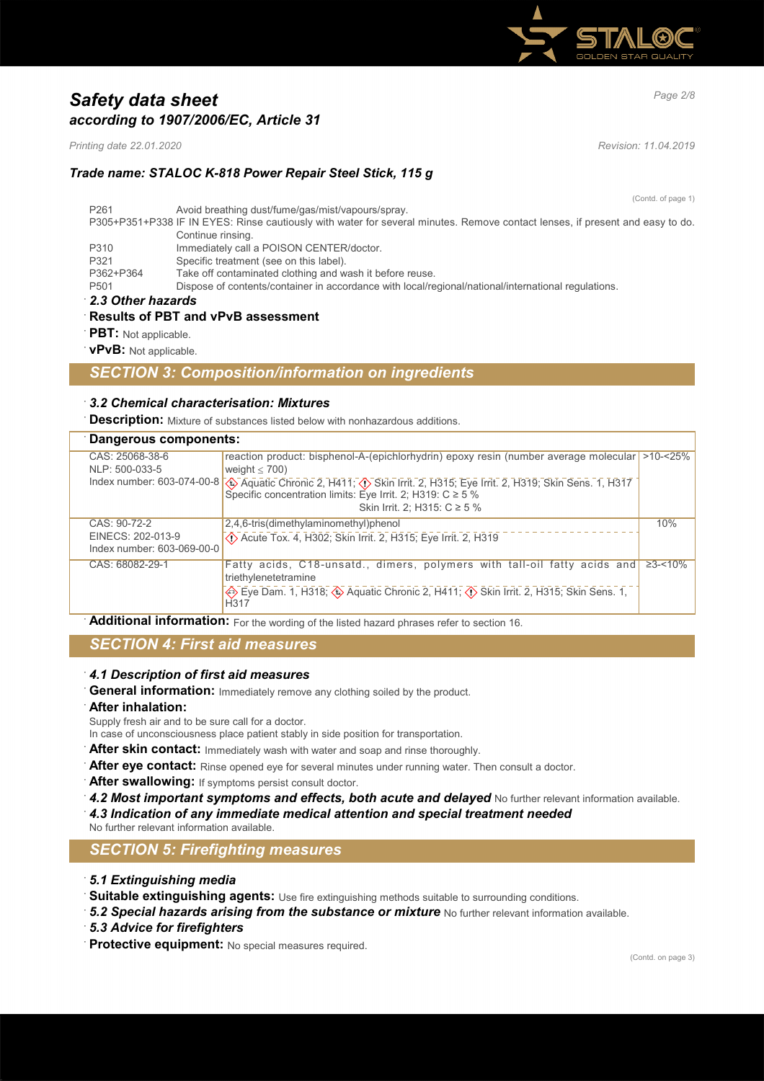

# *Page 2/8 Safety data sheet according to 1907/2006/EC, Article 31*

*Printing date 22.01.2020 Revision: 11.04.2019*

## *Trade name: STALOC K-818 Power Repair Steel Stick, 115 g*

(Contd. of page 1) P261 Avoid breathing dust/fume/gas/mist/vapours/spray. P305+P351+P338 IF IN EYES: Rinse cautiously with water for several minutes. Remove contact lenses, if present and easy to do. Continue rinsing. P310 Immediately call a POISON CENTER/doctor. P321 Specific treatment (see on this label).<br>P362+P364 Take off contaminated clothing and w P362+P364 Take off contaminated clothing and wash it before reuse.<br>P501 Dispose of contents/container in accordance with local/re Dispose of contents/container in accordance with local/regional/national/international regulations. · *2.3 Other hazards* · **Results of PBT and vPvB assessment**

**PBT:** Not applicable.

· **vPvB:** Not applicable.

### *SECTION 3: Composition/information on ingredients*

#### · *3.2 Chemical characterisation: Mixtures*

**Description:** Mixture of substances listed below with nonhazardous additions.

#### · **Dangerous components:**

| CAS: 25068-38-6            | reaction product: bisphenol-A-(epichlorhydrin) epoxy resin (number average molecular  >10-<25%                                            |               |
|----------------------------|-------------------------------------------------------------------------------------------------------------------------------------------|---------------|
| NLP: 500-033-5             | weight $<$ 700)                                                                                                                           |               |
|                            | Index number: 603-074-00-8 $\bigotimes$ Aquatic Chronic 2, H411, $\bigotimes$ Skin Irrit. 2, H315, Eye Irrit. 2, H319, Skin Sens. 1, H317 |               |
|                            | Specific concentration limits: Eye Irrit. 2; H319: $C \ge 5$ %                                                                            |               |
|                            | Skin Irrit. 2; H315: C ≥ 5 %                                                                                                              |               |
| CAS: 90-72-2               | 2,4,6-tris(dimethylaminomethyl)phenol                                                                                                     | 10%           |
| EINECS: 202-013-9          | $\langle$ . Acute Tox. 4, H302; Skin Irrit. 2, H315; Eye Irrit. 2, H319                                                                   |               |
| Index number: 603-069-00-0 |                                                                                                                                           |               |
| CAS: 68082-29-1            | Fatty acids, C18-unsatd., dimers, polymers with tall-oil fatty acids and                                                                  | $\geq$ 3-<10% |
|                            | triethylenetetramine                                                                                                                      |               |
|                            | Eye Dam. 1, H318; SAquatic Chronic 2, H411; (1) Skin Irrit. 2, H315; Skin Sens. 1,<br>H <sub>317</sub>                                    |               |
|                            |                                                                                                                                           |               |

Additional information: For the wording of the listed hazard phrases refer to section 16.

## *SECTION 4: First aid measures*

### · *4.1 Description of first aid measures*

General information: Immediately remove any clothing soiled by the product.

#### · **After inhalation:**

Supply fresh air and to be sure call for a doctor.

- In case of unconsciousness place patient stably in side position for transportation.
- After skin contact: Immediately wash with water and soap and rinse thoroughly.
- After eye contact: Rinse opened eye for several minutes under running water. Then consult a doctor.
- After swallowing: If symptoms persist consult doctor.
- **4.2 Most important symptoms and effects, both acute and delayed** No further relevant information available. · *4.3 Indication of any immediate medical attention and special treatment needed*
- No further relevant information available.

## *SECTION 5: Firefighting measures*

- · *5.1 Extinguishing media*
- · **Suitable extinguishing agents:** Use fire extinguishing methods suitable to surrounding conditions.
- · *5.2 Special hazards arising from the substance or mixture* No further relevant information available.
- · *5.3 Advice for firefighters*
- · **Protective equipment:** No special measures required.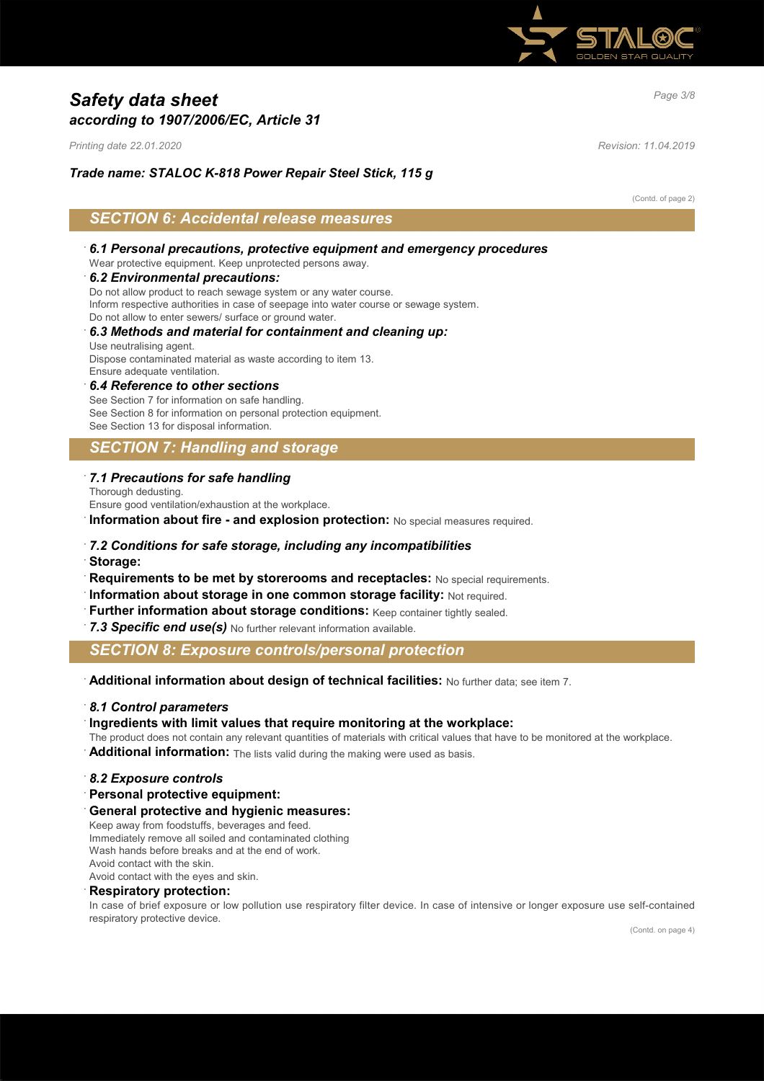

# *Page 3/8 Safety data sheet according to 1907/2006/EC, Article 31*

*Printing date 22.01.2020 Revision: 11.04.2019*

#### *Trade name: STALOC K-818 Power Repair Steel Stick, 115 g*

#### (Contd. of page 2)

## *SECTION 6: Accidental release measures*

- · *6.1 Personal precautions, protective equipment and emergency procedures* Wear protective equipment. Keep unprotected persons away.
- · *6.2 Environmental precautions:*

Do not allow product to reach sewage system or any water course.

Inform respective authorities in case of seepage into water course or sewage system.

Do not allow to enter sewers/ surface or ground water.

### · *6.3 Methods and material for containment and cleaning up:* Use neutralising agent.

Dispose contaminated material as waste according to item 13. Ensure adequate ventilation.

· *6.4 Reference to other sections* See Section 7 for information on safe handling. See Section 8 for information on personal protection equipment. See Section 13 for disposal information.

## *SECTION 7: Handling and storage*

### · *7.1 Precautions for safe handling*

Thorough dedusting. Ensure good ventilation/exhaustion at the workplace.

**Information about fire - and explosion protection:** No special measures required.

# · *7.2 Conditions for safe storage, including any incompatibilities*

- · **Storage:**
- · **Requirements to be met by storerooms and receptacles:** No special requirements.
- · **Information about storage in one common storage facility:** Not required.
- · **Further information about storage conditions:** Keep container tightly sealed.
- · *7.3 Specific end use(s)* No further relevant information available.

*SECTION 8: Exposure controls/personal protection*

· **Additional information about design of technical facilities:** No further data; see item 7.

#### · *8.1 Control parameters*

#### · **Ingredients with limit values that require monitoring at the workplace:**

- The product does not contain any relevant quantities of materials with critical values that have to be monitored at the workplace.
- **Additional information:** The lists valid during the making were used as basis.

#### · *8.2 Exposure controls*

· **Personal protective equipment:**

· **General protective and hygienic measures:**

Keep away from foodstuffs, beverages and feed.

Immediately remove all soiled and contaminated clothing Wash hands before breaks and at the end of work.

Avoid contact with the skin.

Avoid contact with the eyes and skin.

### · **Respiratory protection:**

In case of brief exposure or low pollution use respiratory filter device. In case of intensive or longer exposure use self-contained respiratory protective device.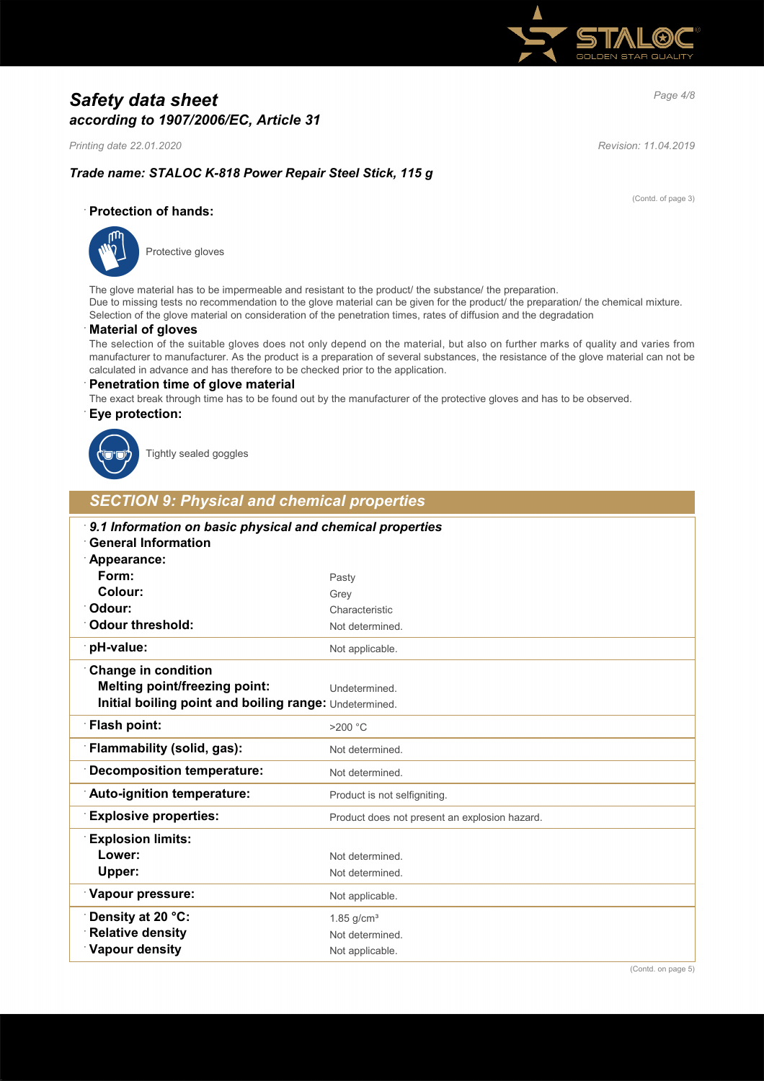

# *Page 4/8 Safety data sheet according to 1907/2006/EC, Article 31*

*Printing date 22.01.2020 Revision: 11.04.2019*

(Contd. of page 3)

## *Trade name: STALOC K-818 Power Repair Steel Stick, 115 g*

### · **Protection of hands:**



Protective gloves

The glove material has to be impermeable and resistant to the product/ the substance/ the preparation. Due to missing tests no recommendation to the glove material can be given for the product/ the preparation/ the chemical mixture. Selection of the glove material on consideration of the penetration times, rates of diffusion and the degradation

### · **Material of gloves**

The selection of the suitable gloves does not only depend on the material, but also on further marks of quality and varies from manufacturer to manufacturer. As the product is a preparation of several substances, the resistance of the glove material can not be calculated in advance and has therefore to be checked prior to the application.

#### · **Penetration time of glove material**

The exact break through time has to be found out by the manufacturer of the protective gloves and has to be observed.

#### · **Eye protection:**



Tightly sealed goggles

## *SECTION 9: Physical and chemical properties*

| 9.1 Information on basic physical and chemical properties<br><b>General Information</b> |                                               |  |  |  |  |
|-----------------------------------------------------------------------------------------|-----------------------------------------------|--|--|--|--|
| Appearance:                                                                             |                                               |  |  |  |  |
| Form:                                                                                   | Pasty                                         |  |  |  |  |
| Colour:                                                                                 | Grey                                          |  |  |  |  |
| Odour:                                                                                  | Characteristic                                |  |  |  |  |
| <b>Odour threshold:</b>                                                                 | Not determined.                               |  |  |  |  |
| pH-value:                                                                               | Not applicable.                               |  |  |  |  |
| <b>Change in condition</b>                                                              |                                               |  |  |  |  |
| <b>Melting point/freezing point:</b>                                                    | Undetermined.                                 |  |  |  |  |
| Initial boiling point and boiling range: Undetermined.                                  |                                               |  |  |  |  |
| Flash point:                                                                            | $>200$ °C                                     |  |  |  |  |
| Flammability (solid, gas):                                                              | Not determined.                               |  |  |  |  |
| <b>Decomposition temperature:</b>                                                       | Not determined.                               |  |  |  |  |
| Auto-ignition temperature:                                                              | Product is not selfigniting.                  |  |  |  |  |
| <b>Explosive properties:</b>                                                            | Product does not present an explosion hazard. |  |  |  |  |
| <b>Explosion limits:</b>                                                                |                                               |  |  |  |  |
| Lower:                                                                                  | Not determined                                |  |  |  |  |
| Upper:                                                                                  | Not determined.                               |  |  |  |  |
| Vapour pressure:                                                                        | Not applicable.                               |  |  |  |  |
| Density at 20 °C:                                                                       | $1.85$ g/cm <sup>3</sup>                      |  |  |  |  |
| <b>Relative density</b>                                                                 | Not determined.                               |  |  |  |  |
| Vapour density                                                                          | Not applicable.                               |  |  |  |  |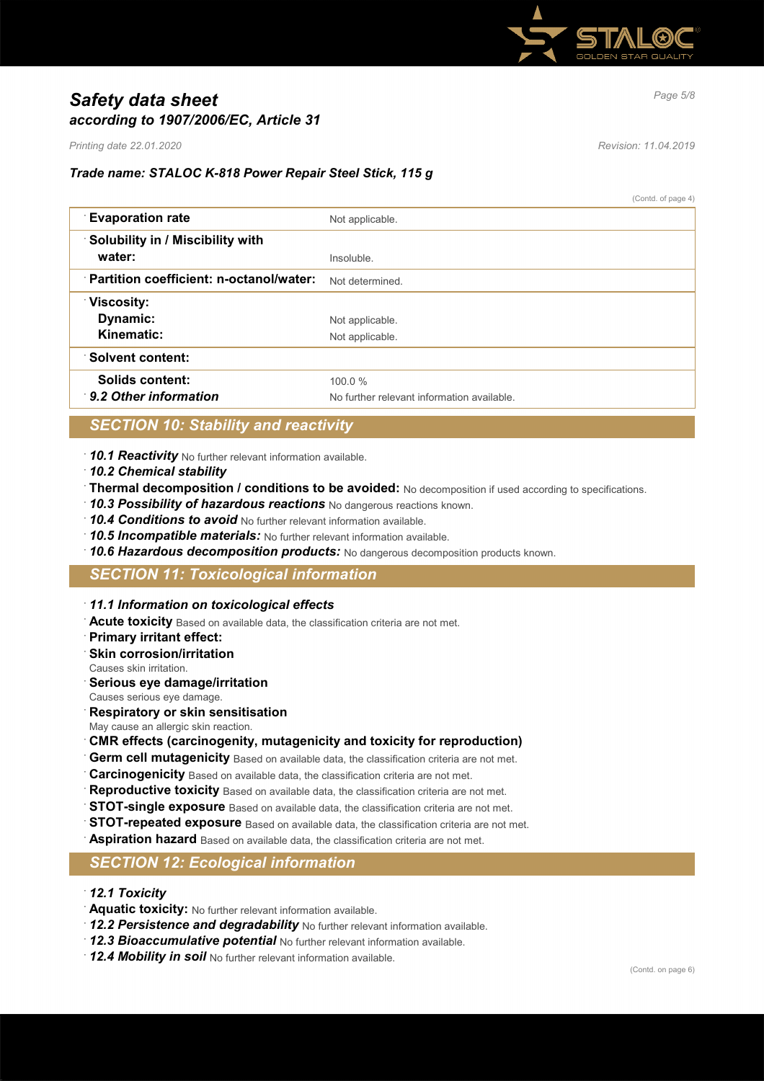

# *Page 5/8 Safety data sheet according to 1907/2006/EC, Article 31*

*Printing date 22.01.2020 Revision: 11.04.2019*

## *Trade name: STALOC K-818 Power Repair Steel Stick, 115 g*

(Contd. of page 4)

| <b>Evaporation rate</b>                 | Not applicable.                            |
|-----------------------------------------|--------------------------------------------|
| Solubility in / Miscibility with        |                                            |
| water:                                  | Insoluble.                                 |
| Partition coefficient: n-octanol/water: | Not determined                             |
| <b>Viscosity:</b>                       |                                            |
| Dynamic:                                | Not applicable.                            |
| Kinematic:                              | Not applicable.                            |
| <b>Solvent content:</b>                 |                                            |
| Solids content:                         | 100.0%                                     |
| 9.2 Other information                   | No further relevant information available. |

## *SECTION 10: Stability and reactivity*

- · *10.1 Reactivity* No further relevant information available.
- · *10.2 Chemical stability*
- · **Thermal decomposition / conditions to be avoided:** No decomposition if used according to specifications.
- · *10.3 Possibility of hazardous reactions* No dangerous reactions known.
- · *10.4 Conditions to avoid* No further relevant information available.
- · *10.5 Incompatible materials:* No further relevant information available.
- · *10.6 Hazardous decomposition products:* No dangerous decomposition products known.

# *SECTION 11: Toxicological information*

- · *11.1 Information on toxicological effects*
- · **Acute toxicity** Based on available data, the classification criteria are not met.
- · **Primary irritant effect:**
- **Skin corrosion/irritation**
- Causes skin irritation.
- · **Serious eye damage/irritation**
- Causes serious eye damage.
- · **Respiratory or skin sensitisation**
- May cause an allergic skin reaction.
- · **CMR effects (carcinogenity, mutagenicity and toxicity for reproduction)**
- Germ cell mutagenicity Based on available data, the classification criteria are not met.
- · **Carcinogenicity** Based on available data, the classification criteria are not met.
- **Reproductive toxicity** Based on available data, the classification criteria are not met.
- **STOT-single exposure** Based on available data, the classification criteria are not met.
- **STOT-repeated exposure** Based on available data, the classification criteria are not met.
- · **Aspiration hazard** Based on available data, the classification criteria are not met.

## *SECTION 12: Ecological information*

- · *12.1 Toxicity*
- · **Aquatic toxicity:** No further relevant information available.
- · *12.2 Persistence and degradability* No further relevant information available.
- · *12.3 Bioaccumulative potential* No further relevant information available.
- · *12.4 Mobility in soil* No further relevant information available.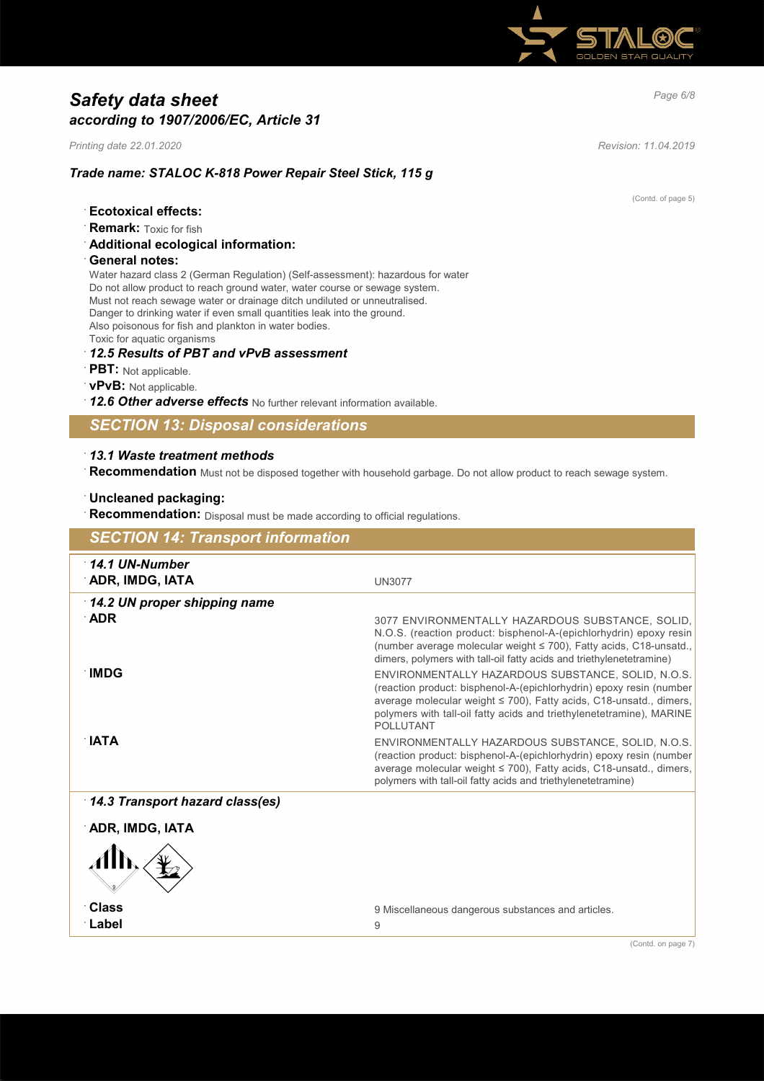

# *Page 6/8 Safety data sheet according to 1907/2006/EC, Article 31*

*Printing date 22.01.2020 Revision: 11.04.2019*

(Contd. of page 5)

#### *Trade name: STALOC K-818 Power Repair Steel Stick, 115 g*

- · **Ecotoxical effects:**
- **Remark:** Toxic for fish
- · **Additional ecological information:**
- · **General notes:**

Water hazard class 2 (German Regulation) (Self-assessment): hazardous for water Do not allow product to reach ground water, water course or sewage system. Must not reach sewage water or drainage ditch undiluted or unneutralised. Danger to drinking water if even small quantities leak into the ground. Also poisonous for fish and plankton in water bodies. Toxic for aquatic organisms

- · *12.5 Results of PBT and vPvB assessment*
- · **PBT:** Not applicable.
- · **vPvB:** Not applicable.
- · *12.6 Other adverse effects* No further relevant information available.

## *SECTION 13: Disposal considerations*

## · *13.1 Waste treatment methods*

· **Recommendation** Must not be disposed together with household garbage. Do not allow product to reach sewage system.

## · **Uncleaned packaging:**

· **Recommendation:** Disposal must be made according to official regulations.

| <b>SECTION 14: Transport information</b>  |                                                                                                                                                                                                                                                                                             |  |  |  |
|-------------------------------------------|---------------------------------------------------------------------------------------------------------------------------------------------------------------------------------------------------------------------------------------------------------------------------------------------|--|--|--|
| $\cdot$ 14.1 UN-Number<br>ADR, IMDG, IATA | <b>UN3077</b>                                                                                                                                                                                                                                                                               |  |  |  |
| 14.2 UN proper shipping name              |                                                                                                                                                                                                                                                                                             |  |  |  |
| $\Delta$ DR                               | 3077 ENVIRONMENTALLY HAZARDOUS SUBSTANCE, SOLID,<br>N.O.S. (reaction product: bisphenol-A-(epichlorhydrin) epoxy resin<br>(number average molecular weight ≤ 700), Fatty acids, C18-unsatd.,<br>dimers, polymers with tall-oil fatty acids and triethylenetetramine)                        |  |  |  |
| ∙IMDG                                     | ENVIRONMENTALLY HAZARDOUS SUBSTANCE, SOLID, N.O.S.<br>(reaction product: bisphenol-A-(epichlorhydrin) epoxy resin (number<br>average molecular weight ≤ 700), Fatty acids, C18-unsatd., dimers,<br>polymers with tall-oil fatty acids and triethylenetetramine), MARINE<br><b>POLLUTANT</b> |  |  |  |
| ∴IATA                                     | ENVIRONMENTALLY HAZARDOUS SUBSTANCE, SOLID, N.O.S.<br>(reaction product: bisphenol-A-(epichlorhydrin) epoxy resin (number<br>average molecular weight ≤ 700), Fatty acids, C18-unsatd., dimers,<br>polymers with tall-oil fatty acids and triethylenetetramine)                             |  |  |  |
| 14.3 Transport hazard class(es)           |                                                                                                                                                                                                                                                                                             |  |  |  |
| ADR, IMDG, IATA                           |                                                                                                                                                                                                                                                                                             |  |  |  |
|                                           |                                                                                                                                                                                                                                                                                             |  |  |  |
| ∶Class                                    | 9 Miscellaneous dangerous substances and articles.                                                                                                                                                                                                                                          |  |  |  |
| ∴Label                                    | 9                                                                                                                                                                                                                                                                                           |  |  |  |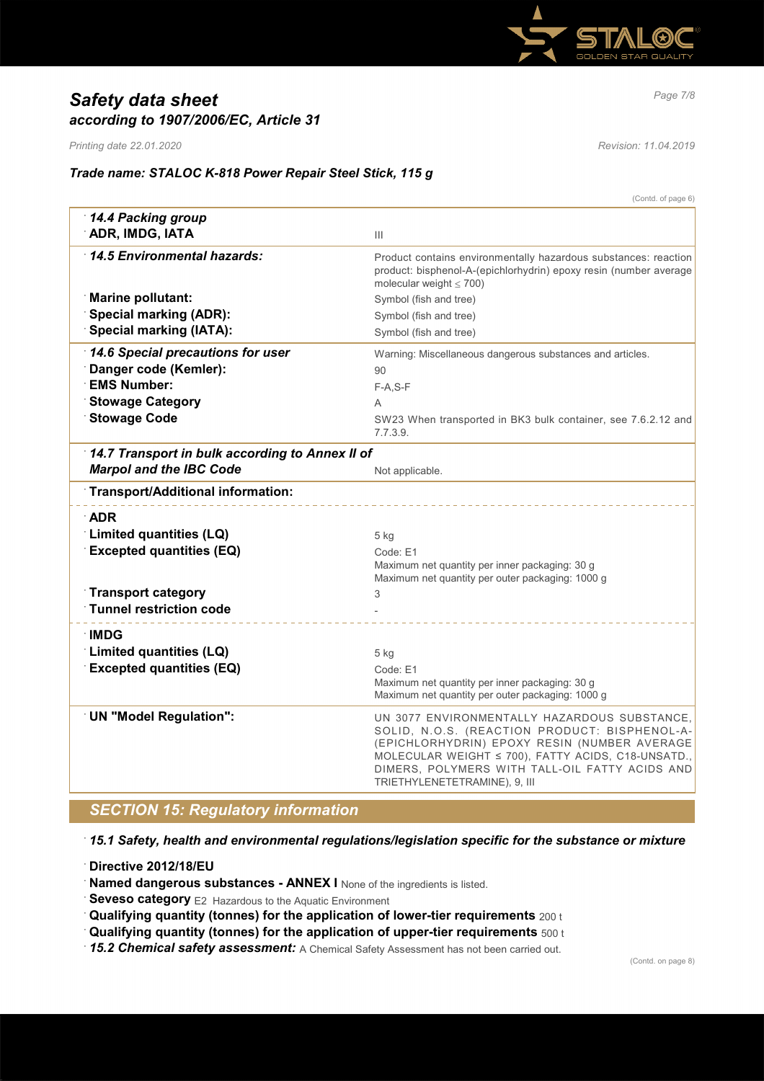

# *Page 7/8 Safety data sheet according to 1907/2006/EC, Article 31*

*Printing date 22.01.2020 Revision: 11.04.2019*

## *Trade name: STALOC K-818 Power Repair Steel Stick, 115 g*

|                                                 | (Contd. of page 6)                                                                                                                                                                                                                                                                     |  |  |  |
|-------------------------------------------------|----------------------------------------------------------------------------------------------------------------------------------------------------------------------------------------------------------------------------------------------------------------------------------------|--|--|--|
| 14.4 Packing group                              |                                                                                                                                                                                                                                                                                        |  |  |  |
| ADR, IMDG, IATA                                 | Ш                                                                                                                                                                                                                                                                                      |  |  |  |
| 14.5 Environmental hazards:                     | Product contains environmentally hazardous substances: reaction<br>product: bisphenol-A-(epichlorhydrin) epoxy resin (number average<br>molecular weight $\leq 700$ )                                                                                                                  |  |  |  |
| <b>Marine pollutant:</b>                        | Symbol (fish and tree)                                                                                                                                                                                                                                                                 |  |  |  |
| <b>Special marking (ADR):</b>                   | Symbol (fish and tree)                                                                                                                                                                                                                                                                 |  |  |  |
| <b>Special marking (IATA):</b>                  | Symbol (fish and tree)                                                                                                                                                                                                                                                                 |  |  |  |
| 14.6 Special precautions for user               | Warning: Miscellaneous dangerous substances and articles.                                                                                                                                                                                                                              |  |  |  |
| Danger code (Kemler):                           | 90                                                                                                                                                                                                                                                                                     |  |  |  |
| <b>EMS Number:</b>                              | $F-A, S-F$                                                                                                                                                                                                                                                                             |  |  |  |
| <b>Stowage Category</b>                         | A                                                                                                                                                                                                                                                                                      |  |  |  |
| <b>Stowage Code</b>                             | SW23 When transported in BK3 bulk container, see 7.6.2.12 and<br>7.7.3.9.                                                                                                                                                                                                              |  |  |  |
| 14.7 Transport in bulk according to Annex II of |                                                                                                                                                                                                                                                                                        |  |  |  |
| <b>Marpol and the IBC Code</b>                  | Not applicable.                                                                                                                                                                                                                                                                        |  |  |  |
| Transport/Additional information:               |                                                                                                                                                                                                                                                                                        |  |  |  |
| <b>ADR</b>                                      |                                                                                                                                                                                                                                                                                        |  |  |  |
| <b>Limited quantities (LQ)</b>                  | 5 kg                                                                                                                                                                                                                                                                                   |  |  |  |
| <b>Excepted quantities (EQ)</b>                 | Code: E1                                                                                                                                                                                                                                                                               |  |  |  |
|                                                 | Maximum net quantity per inner packaging: 30 g                                                                                                                                                                                                                                         |  |  |  |
|                                                 | Maximum net quantity per outer packaging: 1000 g                                                                                                                                                                                                                                       |  |  |  |
| <b>Transport category</b>                       | 3                                                                                                                                                                                                                                                                                      |  |  |  |
| <b>Tunnel restriction code</b>                  |                                                                                                                                                                                                                                                                                        |  |  |  |
| ∴IMDG                                           |                                                                                                                                                                                                                                                                                        |  |  |  |
| Limited quantities (LQ)                         | 5 kg                                                                                                                                                                                                                                                                                   |  |  |  |
| <b>Excepted quantities (EQ)</b>                 | Code: E1                                                                                                                                                                                                                                                                               |  |  |  |
|                                                 | Maximum net quantity per inner packaging: 30 g                                                                                                                                                                                                                                         |  |  |  |
|                                                 | Maximum net quantity per outer packaging: 1000 g                                                                                                                                                                                                                                       |  |  |  |
| <b>UN "Model Regulation":</b>                   | UN 3077 ENVIRONMENTALLY HAZARDOUS SUBSTANCE,<br>SOLID, N.O.S. (REACTION PRODUCT: BISPHENOL-A-<br>(EPICHLORHYDRIN) EPOXY RESIN (NUMBER AVERAGE<br>MOLECULAR WEIGHT ≤ 700), FATTY ACIDS, C18-UNSATD.,<br>DIMERS, POLYMERS WITH TALL-OIL FATTY ACIDS AND<br>TRIETHYLENETETRAMINE), 9, III |  |  |  |

# *SECTION 15: Regulatory information*

· *15.1 Safety, health and environmental regulations/legislation specific for the substance or mixture*

· **Directive 2012/18/EU**

**Named dangerous substances - ANNEX I** None of the ingredients is listed.

**Seveso category** E2 Hazardous to the Aquatic Environment

· **Qualifying quantity (tonnes) for the application of lower-tier requirements** 200 t

· **Qualifying quantity (tonnes) for the application of upper-tier requirements** 500 t

· *15.2 Chemical safety assessment:* A Chemical Safety Assessment has not been carried out.